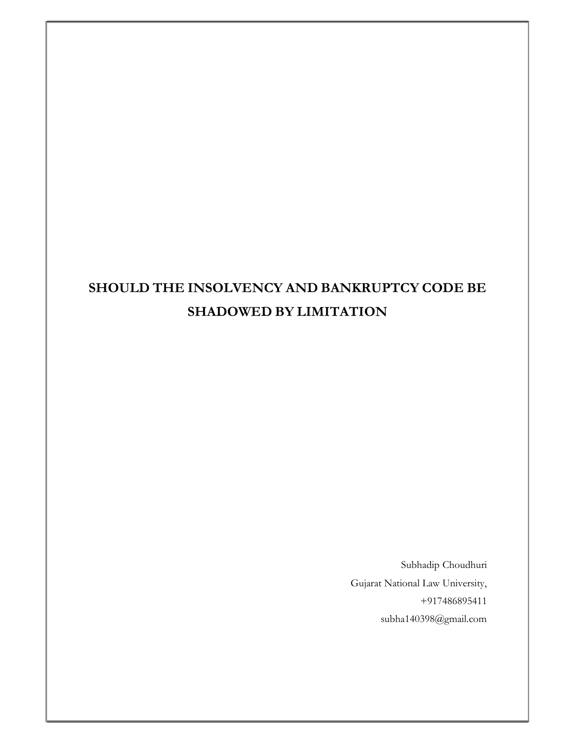Subhadip Choudhuri Gujarat National Law University, +917486895411 subha140398@gmail.com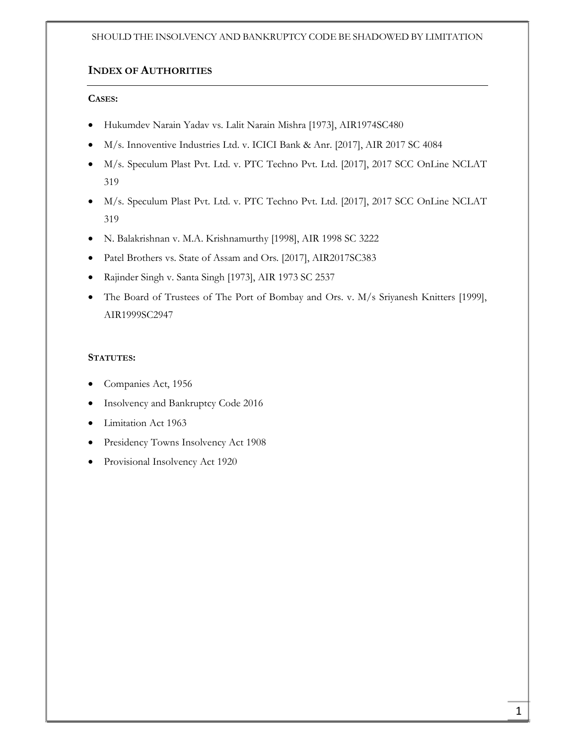# INDEX OF AUTHORITIES

# CASES:

- Hukumdev Narain Yadav vs. Lalit Narain Mishra [1973], AIR1974SC480
- M/s. Innoventive Industries Ltd. v. ICICI Bank & Anr. [2017], AIR 2017 SC 4084
- M/s. Speculum Plast Pvt. Ltd. v. PTC Techno Pvt. Ltd. [2017], 2017 SCC OnLine NCLAT 319
- M/s. Speculum Plast Pvt. Ltd. v. PTC Techno Pvt. Ltd. [2017], 2017 SCC OnLine NCLAT 319
- N. Balakrishnan v. M.A. Krishnamurthy [1998], AIR 1998 SC 3222
- Patel Brothers vs. State of Assam and Ors. [2017], AIR2017SC383
- Rajinder Singh v. Santa Singh [1973], AIR 1973 SC 2537
- The Board of Trustees of The Port of Bombay and Ors. v. M/s Sriyanesh Knitters [1999], AIR1999SC2947

# STATUTES:

- Companies Act, 1956
- Insolvency and Bankruptcy Code 2016
- Limitation Act 1963
- Presidency Towns Insolvency Act 1908
- Provisional Insolvency Act 1920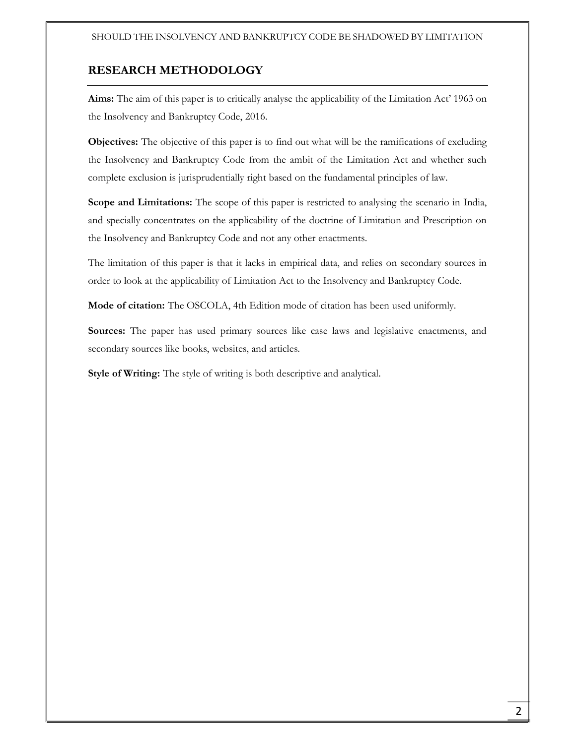# RESEARCH METHODOLOGY

Aims: The aim of this paper is to critically analyse the applicability of the Limitation Act' 1963 on the Insolvency and Bankruptcy Code, 2016.

Objectives: The objective of this paper is to find out what will be the ramifications of excluding the Insolvency and Bankruptcy Code from the ambit of the Limitation Act and whether such complete exclusion is jurisprudentially right based on the fundamental principles of law.

Scope and Limitations: The scope of this paper is restricted to analysing the scenario in India, and specially concentrates on the applicability of the doctrine of Limitation and Prescription on the Insolvency and Bankruptcy Code and not any other enactments.

The limitation of this paper is that it lacks in empirical data, and relies on secondary sources in order to look at the applicability of Limitation Act to the Insolvency and Bankruptcy Code.

Mode of citation: The OSCOLA, 4th Edition mode of citation has been used uniformly.

Sources: The paper has used primary sources like case laws and legislative enactments, and secondary sources like books, websites, and articles.

Style of Writing: The style of writing is both descriptive and analytical.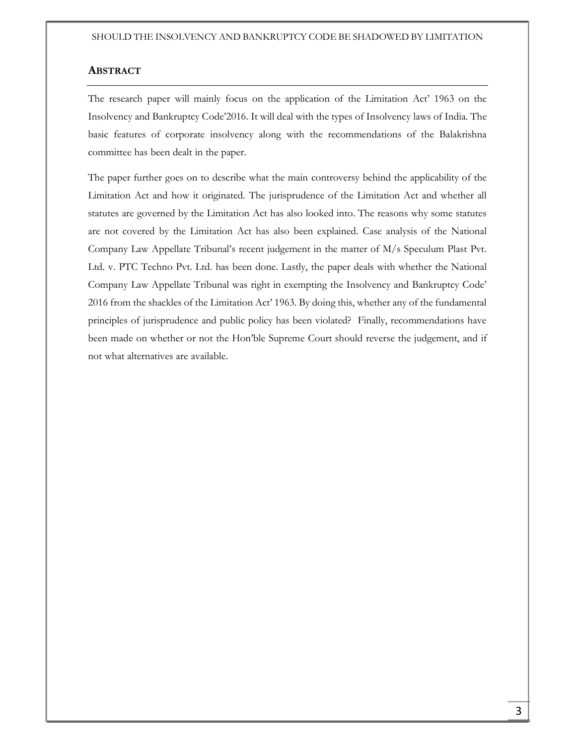## ABSTRACT

The research paper will mainly focus on the application of the Limitation Act' 1963 on the Insolvency and Bankruptcy Code'2016. It will deal with the types of Insolvency laws of India. The basic features of corporate insolvency along with the recommendations of the Balakrishna committee has been dealt in the paper.

The paper further goes on to describe what the main controversy behind the applicability of the Limitation Act and how it originated. The jurisprudence of the Limitation Act and whether all statutes are governed by the Limitation Act has also looked into. The reasons why some statutes are not covered by the Limitation Act has also been explained. Case analysis of the National Company Law Appellate Tribunal's recent judgement in the matter of M/s Speculum Plast Pvt. Ltd. v. PTC Techno Pvt. Ltd. has been done. Lastly, the paper deals with whether the National Company Law Appellate Tribunal was right in exempting the Insolvency and Bankruptcy Code' 2016 from the shackles of the Limitation Act' 1963. By doing this, whether any of the fundamental principles of jurisprudence and public policy has been violated? Finally, recommendations have been made on whether or not the Hon'ble Supreme Court should reverse the judgement, and if not what alternatives are available.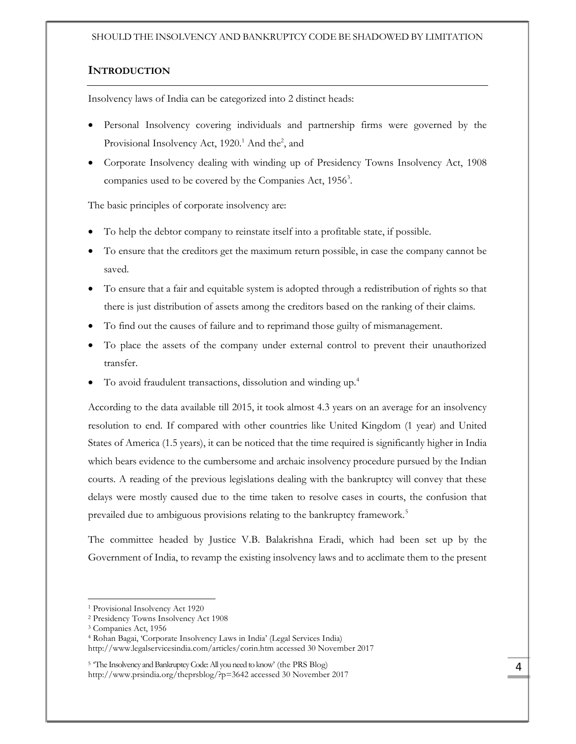# **INTRODUCTION**

Insolvency laws of India can be categorized into 2 distinct heads:

- Personal Insolvency covering individuals and partnership firms were governed by the Provisional Insolvency Act, 1920.<sup>1</sup> And the<sup>2</sup>, and
- Corporate Insolvency dealing with winding up of Presidency Towns Insolvency Act, 1908 companies used to be covered by the Companies Act, 1956<sup>3</sup>.

The basic principles of corporate insolvency are:

- To help the debtor company to reinstate itself into a profitable state, if possible.
- To ensure that the creditors get the maximum return possible, in case the company cannot be saved.
- To ensure that a fair and equitable system is adopted through a redistribution of rights so that there is just distribution of assets among the creditors based on the ranking of their claims.
- To find out the causes of failure and to reprimand those guilty of mismanagement.
- To place the assets of the company under external control to prevent their unauthorized transfer.
- To avoid fraudulent transactions, dissolution and winding up.<sup>4</sup>

According to the data available till 2015, it took almost 4.3 years on an average for an insolvency resolution to end. If compared with other countries like United Kingdom (1 year) and United States of America (1.5 years), it can be noticed that the time required is significantly higher in India which bears evidence to the cumbersome and archaic insolvency procedure pursued by the Indian courts. A reading of the previous legislations dealing with the bankruptcy will convey that these delays were mostly caused due to the time taken to resolve cases in courts, the confusion that prevailed due to ambiguous provisions relating to the bankruptcy framework.<sup>5</sup>

The committee headed by Justice V.B. Balakrishna Eradi, which had been set up by the Government of India, to revamp the existing insolvency laws and to acclimate them to the present

<sup>1</sup> Provisional Insolvency Act 1920

<sup>2</sup> Presidency Towns Insolvency Act 1908

<sup>3</sup> Companies Act, 1956

<sup>4</sup> Rohan Bagai, 'Corporate Insolvency Laws in India' (Legal Services India) http://www.legalservicesindia.com/articles/corin.htm accessed 30 November 2017

<sup>&</sup>lt;sup>5</sup> The Insolvency and Bankruptcy Code: All you need to know' (the PRS Blog) http://www.prsindia.org/theprsblog/?p=3642 accessed 30 November 2017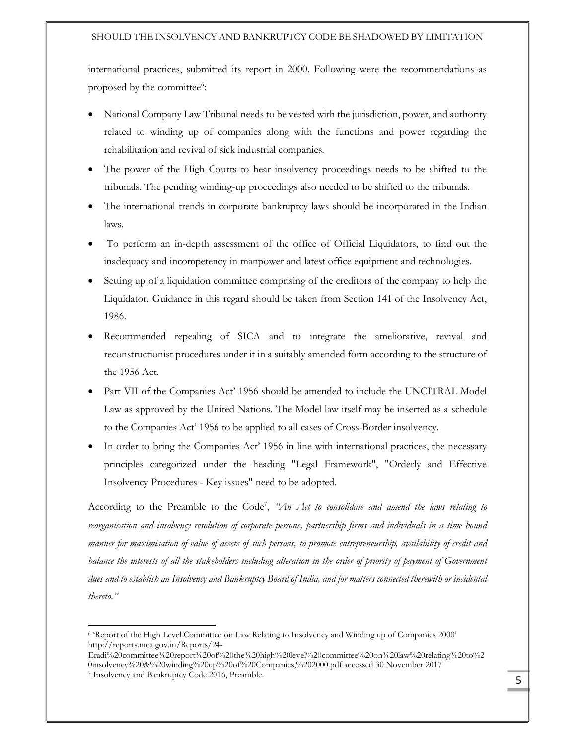international practices, submitted its report in 2000. Following were the recommendations as proposed by the committee<sup>6</sup>:

- National Company Law Tribunal needs to be vested with the jurisdiction, power, and authority related to winding up of companies along with the functions and power regarding the rehabilitation and revival of sick industrial companies.
- The power of the High Courts to hear insolvency proceedings needs to be shifted to the tribunals. The pending winding-up proceedings also needed to be shifted to the tribunals.
- The international trends in corporate bankruptcy laws should be incorporated in the Indian laws.
- To perform an in-depth assessment of the office of Official Liquidators, to find out the inadequacy and incompetency in manpower and latest office equipment and technologies.
- Setting up of a liquidation committee comprising of the creditors of the company to help the Liquidator. Guidance in this regard should be taken from Section 141 of the Insolvency Act, 1986.
- Recommended repealing of SICA and to integrate the ameliorative, revival and reconstructionist procedures under it in a suitably amended form according to the structure of the 1956 Act.
- Part VII of the Companies Act' 1956 should be amended to include the UNCITRAL Model Law as approved by the United Nations. The Model law itself may be inserted as a schedule to the Companies Act' 1956 to be applied to all cases of Cross-Border insolvency.
- In order to bring the Companies Act' 1956 in line with international practices, the necessary principles categorized under the heading "Legal Framework", "Orderly and Effective Insolvency Procedures - Key issues" need to be adopted.

According to the Preamble to the Code<sup>7</sup>, "An Act to consolidate and amend the laws relating to reorganisation and insolvency resolution of corporate persons, partnership firms and individuals in a time bound manner for maximisation of value of assets of such persons, to promote entrepreneurship, availability of credit and balance the interests of all the stakeholders including alteration in the order of priority of payment of Government dues and to establish an Insolvency and Bankruptcy Board of India, and for matters connected therewith or incidental thereto."

<sup>6</sup> 'Report of the High Level Committee on Law Relating to Insolvency and Winding up of Companies 2000' http://reports.mca.gov.in/Reports/24-

Eradi%20committee%20report%20of%20the%20high%20level%20committee%20on%20law%20relating%20to%2 0insolvency%20&%20winding%20up%20of%20Companies,%202000.pdf accessed 30 November 2017

<sup>7</sup> Insolvency and Bankruptcy Code 2016, Preamble.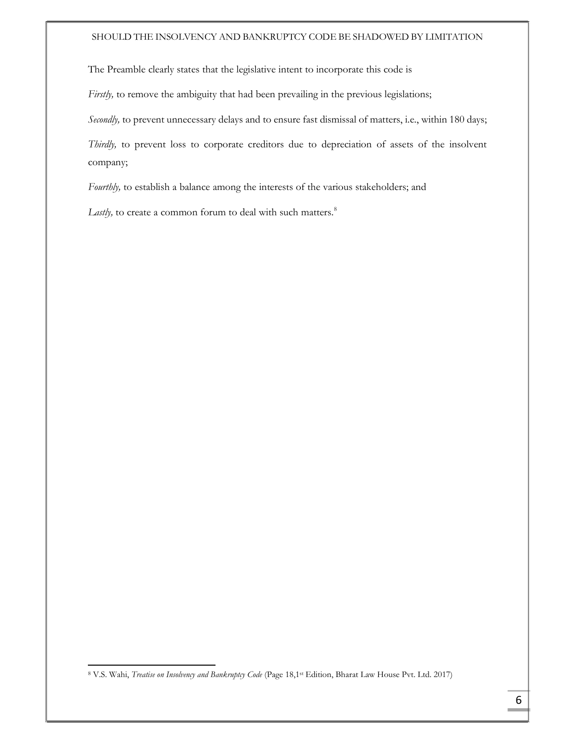The Preamble clearly states that the legislative intent to incorporate this code is

Firstly, to remove the ambiguity that had been prevailing in the previous legislations;

Secondly, to prevent unnecessary delays and to ensure fast dismissal of matters, i.e., within 180 days;

Thirdly, to prevent loss to corporate creditors due to depreciation of assets of the insolvent company;

Fourthly, to establish a balance among the interests of the various stakeholders; and

Lastly, to create a common forum to deal with such matters.<sup>8</sup>

<sup>&</sup>lt;sup>8</sup> V.S. Wahi, Treatise on Insolvency and Bankruptcy Code (Page 18,1<sup>st</sup> Edition, Bharat Law House Pvt. Ltd. 2017)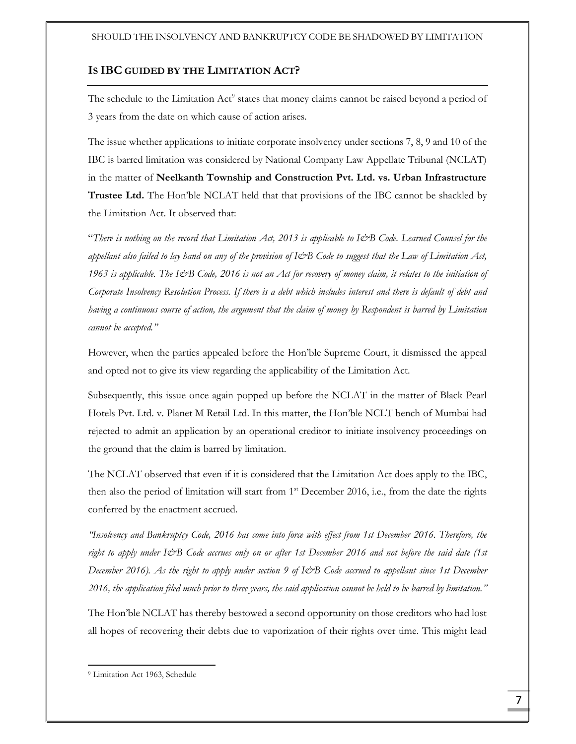# IS IBC GUIDED BY THE LIMITATION ACT?

The schedule to the Limitation Act<sup>9</sup> states that money claims cannot be raised beyond a period of 3 years from the date on which cause of action arises.

The issue whether applications to initiate corporate insolvency under sections 7, 8, 9 and 10 of the IBC is barred limitation was considered by National Company Law Appellate Tribunal (NCLAT) in the matter of Neelkanth Township and Construction Pvt. Ltd. vs. Urban Infrastructure Trustee Ltd. The Hon'ble NCLAT held that that provisions of the IBC cannot be shackled by the Limitation Act. It observed that:

"There is nothing on the record that Limitation Act, 2013 is applicable to I&B Code. Learned Counsel for the appellant also failed to lay hand on any of the provision of I&B Code to suggest that the Law of Limitation Act, 1963 is applicable. The I&B Code, 2016 is not an Act for recovery of money claim, it relates to the initiation of Corporate Insolvency Resolution Process. If there is a debt which includes interest and there is default of debt and having a continuous course of action, the argument that the claim of money by Respondent is barred by Limitation cannot be accepted."

However, when the parties appealed before the Hon'ble Supreme Court, it dismissed the appeal and opted not to give its view regarding the applicability of the Limitation Act.

Subsequently, this issue once again popped up before the NCLAT in the matter of Black Pearl Hotels Pvt. Ltd. v. Planet M Retail Ltd. In this matter, the Hon'ble NCLT bench of Mumbai had rejected to admit an application by an operational creditor to initiate insolvency proceedings on the ground that the claim is barred by limitation.

The NCLAT observed that even if it is considered that the Limitation Act does apply to the IBC, then also the period of limitation will start from  $1<sup>st</sup>$  December 2016, i.e., from the date the rights conferred by the enactment accrued.

"Insolvency and Bankruptcy Code, 2016 has come into force with effect from 1st December 2016. Therefore, the right to apply under I&B Code accrues only on or after 1st December 2016 and not before the said date (1st December 2016). As the right to apply under section 9 of I&B Code accrued to appellant since 1st December 2016, the application filed much prior to three years, the said application cannot be held to be barred by limitation."

The Hon'ble NCLAT has thereby bestowed a second opportunity on those creditors who had lost all hopes of recovering their debts due to vaporization of their rights over time. This might lead

<sup>9</sup> Limitation Act 1963, Schedule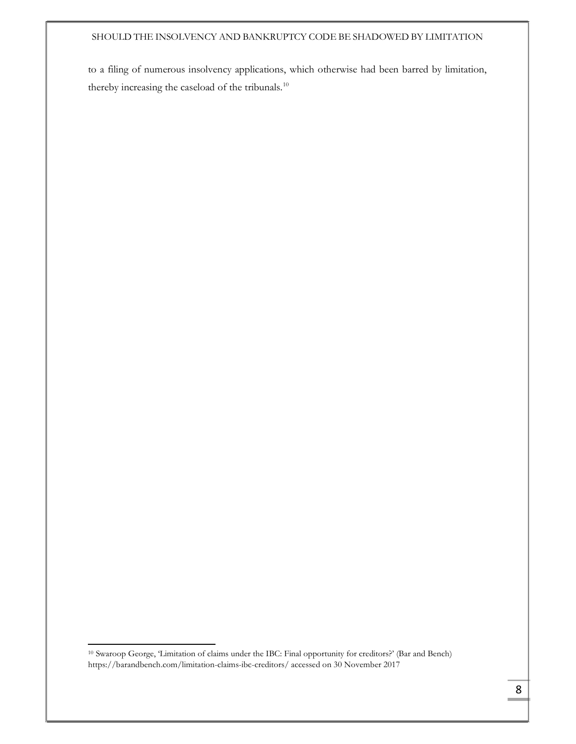to a filing of numerous insolvency applications, which otherwise had been barred by limitation, thereby increasing the caseload of the tribunals.<sup>10</sup>

-

<sup>10</sup> Swaroop George, 'Limitation of claims under the IBC: Final opportunity for creditors?' (Bar and Bench) https://barandbench.com/limitation-claims-ibc-creditors/ accessed on 30 November 2017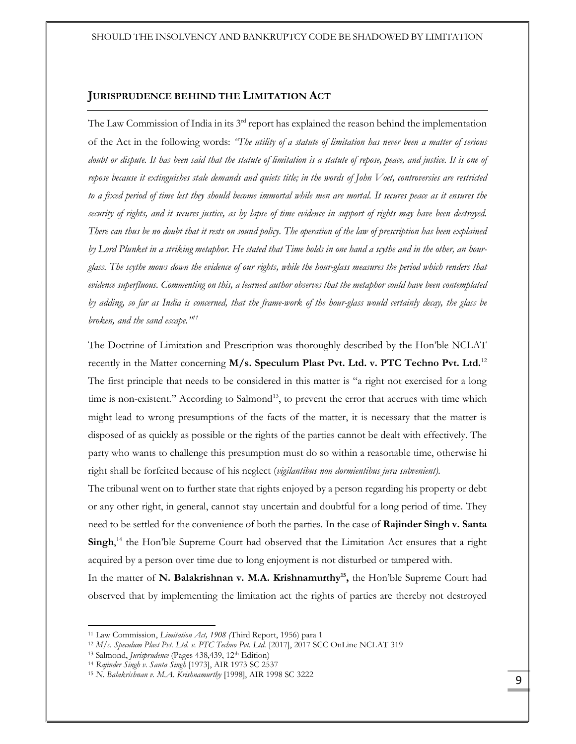## JURISPRUDENCE BEHIND THE LIMITATION ACT

The Law Commission of India in its  $3<sup>rd</sup>$  report has explained the reason behind the implementation of the Act in the following words: "The utility of a statute of limitation has never been a matter of serious doubt or dispute. It has been said that the statute of limitation is a statute of repose, peace, and justice. It is one of repose because it extinguishes stale demands and quiets title; in the words of John Voet, controversies are restricted to a fixed period of time lest they should become immortal while men are mortal. It secures peace as it ensures the security of rights, and it secures justice, as by lapse of time evidence in support of rights may have been destroyed. There can thus be no doubt that it rests on sound policy. The operation of the law of prescription has been explained by Lord Plunket in a striking metaphor. He stated that Time holds in one hand a scythe and in the other, an hourglass. The scythe mows down the evidence of our rights, while the hour-glass measures the period which renders that evidence superfluous. Commenting on this, a learned author observes that the metaphor could have been contemplated by adding, so far as India is concerned, that the frame-work of the hour-glass would certainly decay, the glass be broken, and the sand escape."<sup>11</sup>

The Doctrine of Limitation and Prescription was thoroughly described by the Hon'ble NCLAT recently in the Matter concerning  $M/s$ . Speculum Plast Pvt. Ltd. v. PTC Techno Pvt. Ltd.<sup>12</sup> The first principle that needs to be considered in this matter is "a right not exercised for a long time is non-existent." According to Salmond<sup>13</sup>, to prevent the error that accrues with time which might lead to wrong presumptions of the facts of the matter, it is necessary that the matter is disposed of as quickly as possible or the rights of the parties cannot be dealt with effectively. The party who wants to challenge this presumption must do so within a reasonable time, otherwise hi right shall be forfeited because of his neglect (vigilantibus non dormientibus jura subvenient).

The tribunal went on to further state that rights enjoyed by a person regarding his property or debt or any other right, in general, cannot stay uncertain and doubtful for a long period of time. They need to be settled for the convenience of both the parties. In the case of **Rajinder Singh v. Santa** Singh,<sup>14</sup> the Hon'ble Supreme Court had observed that the Limitation Act ensures that a right acquired by a person over time due to long enjoyment is not disturbed or tampered with. In the matter of N. Balakrishnan v. M.A. Krishnamurthy<sup>15</sup>, the Hon'ble Supreme Court had

observed that by implementing the limitation act the rights of parties are thereby not destroyed

<sup>&</sup>lt;sup>11</sup> Law Commission, *Limitation Act, 1908* (Third Report, 1956) para 1

<sup>12</sup> M/s. Speculum Plast Pvt. Ltd. v. PTC Techno Pvt. Ltd. [2017], 2017 SCC OnLine NCLAT 319

<sup>&</sup>lt;sup>13</sup> Salmond, *Jurisprudence* (Pages 438,439, 12<sup>th</sup> Edition)

<sup>14</sup> Rajinder Singh v. Santa Singh [1973], AIR 1973 SC 2537

<sup>&</sup>lt;sup>15</sup> N. Balakrishnan v. M.A. Krishnamurthy [1998], AIR 1998 SC 3222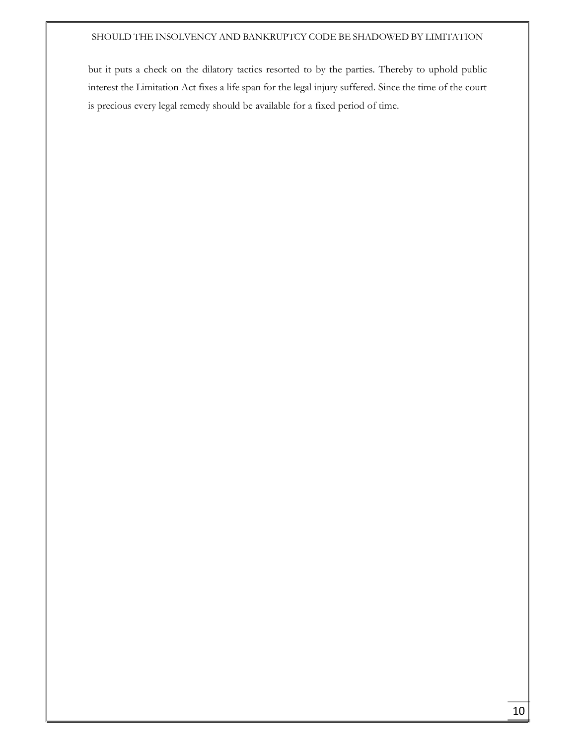but it puts a check on the dilatory tactics resorted to by the parties. Thereby to uphold public interest the Limitation Act fixes a life span for the legal injury suffered. Since the time of the court is precious every legal remedy should be available for a fixed period of time.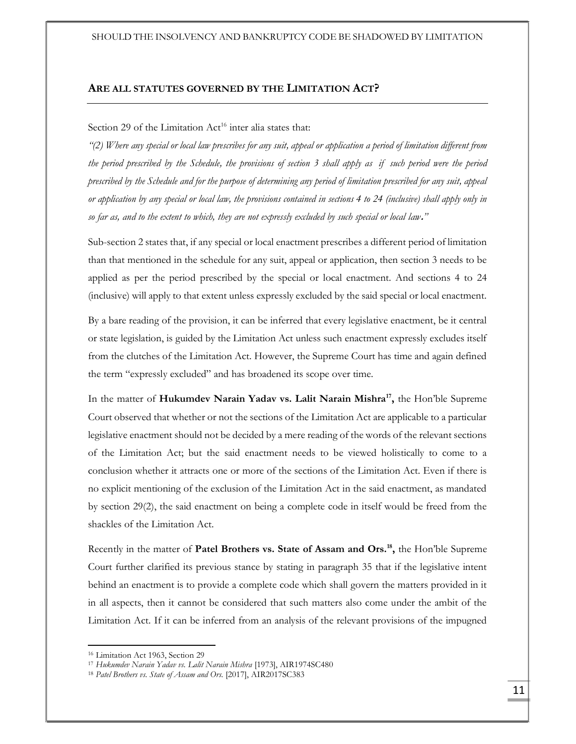## ARE ALL STATUTES GOVERNED BY THE LIMITATION ACT?

# Section 29 of the Limitation Act<sup>16</sup> inter alia states that:

"(2) Where any special or local law prescribes for any suit, appeal or application a period of limitation different from the period prescribed by the Schedule, the provisions of section 3 shall apply as if such period were the period prescribed by the Schedule and for the purpose of determining any period of limitation prescribed for any suit, appeal or application by any special or local law, the provisions contained in sections 4 to 24 (inclusive) shall apply only in so far as, and to the extent to which, they are not expressly excluded by such special or local law."

Sub-section 2 states that, if any special or local enactment prescribes a different period of limitation than that mentioned in the schedule for any suit, appeal or application, then section 3 needs to be applied as per the period prescribed by the special or local enactment. And sections 4 to 24 (inclusive) will apply to that extent unless expressly excluded by the said special or local enactment.

By a bare reading of the provision, it can be inferred that every legislative enactment, be it central or state legislation, is guided by the Limitation Act unless such enactment expressly excludes itself from the clutches of the Limitation Act. However, the Supreme Court has time and again defined the term "expressly excluded" and has broadened its scope over time.

In the matter of Hukumdev Narain Yadav vs. Lalit Narain Mishra<sup>17</sup>, the Hon'ble Supreme Court observed that whether or not the sections of the Limitation Act are applicable to a particular legislative enactment should not be decided by a mere reading of the words of the relevant sections of the Limitation Act; but the said enactment needs to be viewed holistically to come to a conclusion whether it attracts one or more of the sections of the Limitation Act. Even if there is no explicit mentioning of the exclusion of the Limitation Act in the said enactment, as mandated by section 29(2), the said enactment on being a complete code in itself would be freed from the shackles of the Limitation Act.

Recently in the matter of Patel Brothers vs. State of Assam and Ors.<sup>18</sup>, the Hon'ble Supreme Court further clarified its previous stance by stating in paragraph 35 that if the legislative intent behind an enactment is to provide a complete code which shall govern the matters provided in it in all aspects, then it cannot be considered that such matters also come under the ambit of the Limitation Act. If it can be inferred from an analysis of the relevant provisions of the impugned

-

<sup>16</sup> Limitation Act 1963, Section 29

<sup>&</sup>lt;sup>17</sup> Hukumdev Narain Yadav vs. Lalit Narain Mishra [1973], AIR1974SC480

<sup>&</sup>lt;sup>18</sup> Patel Brothers vs. State of Assam and Ors. [2017], AIR2017SC383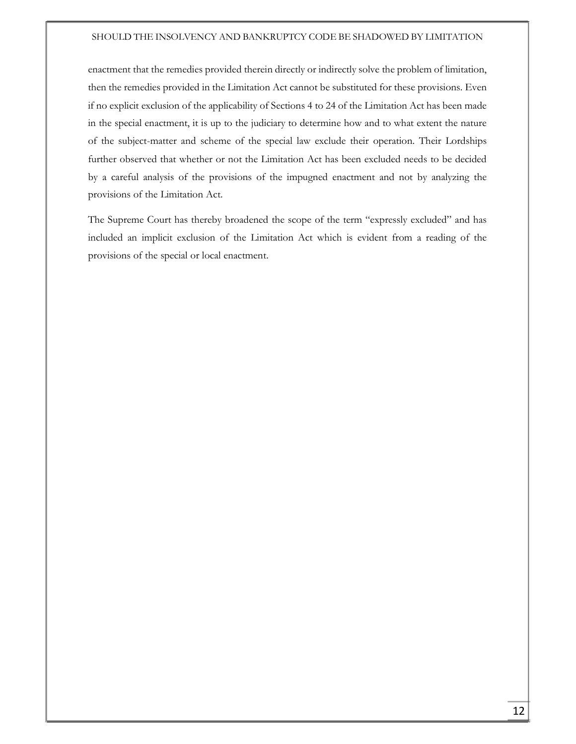enactment that the remedies provided therein directly or indirectly solve the problem of limitation, then the remedies provided in the Limitation Act cannot be substituted for these provisions. Even if no explicit exclusion of the applicability of Sections 4 to 24 of the Limitation Act has been made in the special enactment, it is up to the judiciary to determine how and to what extent the nature of the subject-matter and scheme of the special law exclude their operation. Their Lordships further observed that whether or not the Limitation Act has been excluded needs to be decided by a careful analysis of the provisions of the impugned enactment and not by analyzing the provisions of the Limitation Act.

The Supreme Court has thereby broadened the scope of the term "expressly excluded" and has included an implicit exclusion of the Limitation Act which is evident from a reading of the provisions of the special or local enactment.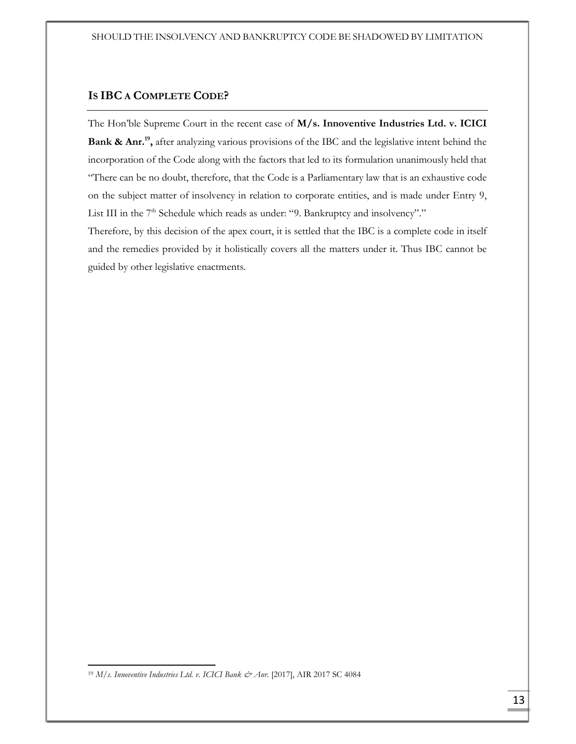# IS IBC A COMPLETE CODE?

The Hon'ble Supreme Court in the recent case of M/s. Innoventive Industries Ltd. v. ICICI Bank & Anr.<sup>19</sup>, after analyzing various provisions of the IBC and the legislative intent behind the incorporation of the Code along with the factors that led to its formulation unanimously held that "There can be no doubt, therefore, that the Code is a Parliamentary law that is an exhaustive code on the subject matter of insolvency in relation to corporate entities, and is made under Entry 9, List III in the 7<sup>th</sup> Schedule which reads as under: "9. Bankruptcy and insolvency"."

Therefore, by this decision of the apex court, it is settled that the IBC is a complete code in itself and the remedies provided by it holistically covers all the matters under it. Thus IBC cannot be guided by other legislative enactments.

<sup>&</sup>lt;sup>19</sup> M/s. Innoventive Industries Ltd. v. ICICI Bank & Anr. [2017], AIR 2017 SC 4084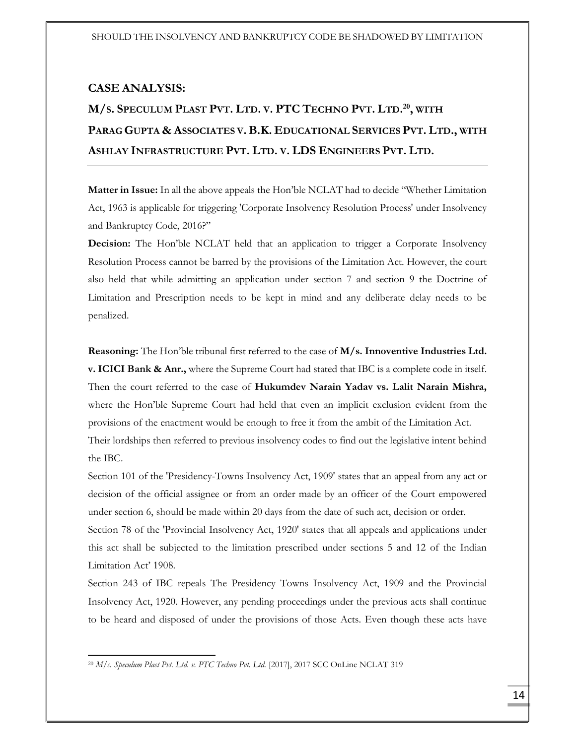# CASE ANALYSIS:

# M/s. Speculum Plast Pvt. Ltd. v. PTC Techno Pvt. Ltd.<sup>20</sup>, with PARAG GUPTA & ASSOCIATES V. B.K. EDUCATIONAL SERVICES PVT. LTD., WITH ASHLAY INFRASTRUCTURE PVT. LTD. V. LDS ENGINEERS PVT. LTD.

**Matter in Issue:** In all the above appeals the Hon'ble NCLAT had to decide "Whether Limitation" Act, 1963 is applicable for triggering 'Corporate Insolvency Resolution Process' under Insolvency and Bankruptcy Code, 2016?"

Decision: The Hon'ble NCLAT held that an application to trigger a Corporate Insolvency Resolution Process cannot be barred by the provisions of the Limitation Act. However, the court also held that while admitting an application under section 7 and section 9 the Doctrine of Limitation and Prescription needs to be kept in mind and any deliberate delay needs to be penalized.

Reasoning: The Hon'ble tribunal first referred to the case of M/s. Innoventive Industries Ltd. **v. ICICI Bank & Anr.,** where the Supreme Court had stated that IBC is a complete code in itself. Then the court referred to the case of Hukumdev Narain Yadav vs. Lalit Narain Mishra, where the Hon'ble Supreme Court had held that even an implicit exclusion evident from the provisions of the enactment would be enough to free it from the ambit of the Limitation Act. Their lordships then referred to previous insolvency codes to find out the legislative intent behind

the IBC.

1

Section 101 of the 'Presidency-Towns Insolvency Act, 1909' states that an appeal from any act or decision of the official assignee or from an order made by an officer of the Court empowered under section 6, should be made within 20 days from the date of such act, decision or order.

Section 78 of the 'Provincial Insolvency Act, 1920' states that all appeals and applications under this act shall be subjected to the limitation prescribed under sections 5 and 12 of the Indian Limitation Act' 1908.

Section 243 of IBC repeals The Presidency Towns Insolvency Act, 1909 and the Provincial Insolvency Act, 1920. However, any pending proceedings under the previous acts shall continue to be heard and disposed of under the provisions of those Acts. Even though these acts have

<sup>&</sup>lt;sup>20</sup> M/s. Speculum Plast Pvt. Ltd. v. PTC Techno Pvt. Ltd. [2017], 2017 SCC OnLine NCLAT 319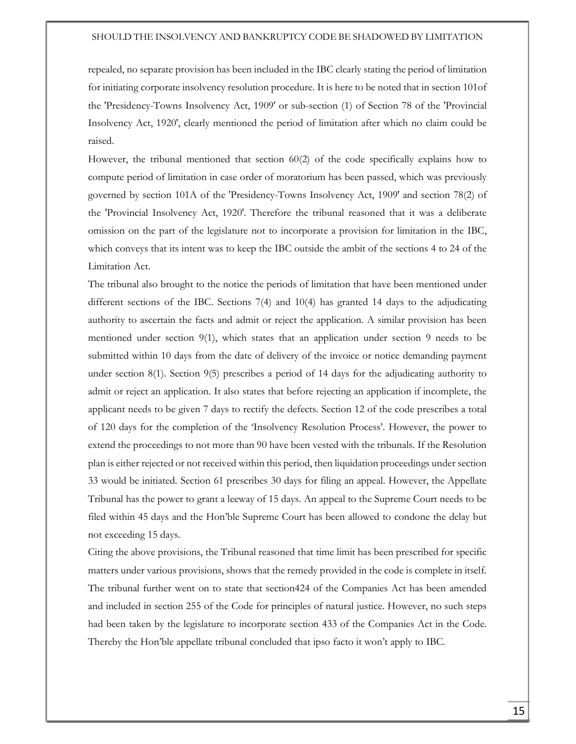repealed, no separate provision has been included in the IBC clearly stating the period of limitation for initiating corporate insolvency resolution procedure. It is here to be noted that in section 101of the 'Presidency-Towns Insolvency Act, 1909' or sub-section (1) of Section 78 of the 'Provincial Insolvency Act, 1920', clearly mentioned the period of limitation after which no claim could be raised.

However, the tribunal mentioned that section 60(2) of the code specifically explains how to compute period of limitation in case order of moratorium has been passed, which was previously governed by section 101A of the 'Presidency-Towns Insolvency Act, 1909' and section 78(2) of the 'Provincial Insolvency Act, 1920'. Therefore the tribunal reasoned that it was a deliberate omission on the part of the legislature not to incorporate a provision for limitation in the IBC, which conveys that its intent was to keep the IBC outside the ambit of the sections 4 to 24 of the Limitation Act.

The tribunal also brought to the notice the periods of limitation that have been mentioned under different sections of the IBC. Sections 7(4) and 10(4) has granted 14 days to the adjudicating authority to ascertain the facts and admit or reject the application. A similar provision has been mentioned under section 9(1), which states that an application under section 9 needs to be submitted within 10 days from the date of delivery of the invoice or notice demanding payment under section 8(1). Section 9(5) prescribes a period of 14 days for the adjudicating authority to admit or reject an application. It also states that before rejecting an application if incomplete, the applicant needs to be given 7 days to rectify the defects. Section 12 of the code prescribes a total of 120 days for the completion of the 'Insolvency Resolution Process'. However, the power to extend the proceedings to not more than 90 have been vested with the tribunals. If the Resolution plan is either rejected or not received within this period, then liquidation proceedings under section 33 would be initiated. Section 61 prescribes 30 days for filing an appeal. However, the Appellate Tribunal has the power to grant a leeway of 15 days. An appeal to the Supreme Court needs to be filed within 45 days and the Hon'ble Supreme Court has been allowed to condone the delay but not exceeding 15 days.

Citing the above provisions, the Tribunal reasoned that time limit has been prescribed for specific matters under various provisions, shows that the remedy provided in the code is complete in itself. The tribunal further went on to state that section424 of the Companies Act has been amended and included in section 255 of the Code for principles of natural justice. However, no such steps had been taken by the legislature to incorporate section 433 of the Companies Act in the Code. Thereby the Hon'ble appellate tribunal concluded that ipso facto it won't apply to IBC.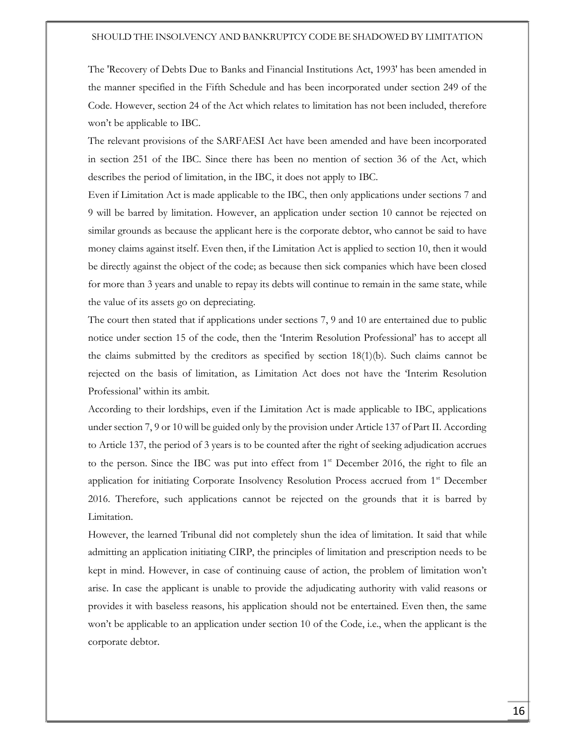The 'Recovery of Debts Due to Banks and Financial Institutions Act, 1993' has been amended in the manner specified in the Fifth Schedule and has been incorporated under section 249 of the Code. However, section 24 of the Act which relates to limitation has not been included, therefore won't be applicable to IBC.

The relevant provisions of the SARFAESI Act have been amended and have been incorporated in section 251 of the IBC. Since there has been no mention of section 36 of the Act, which describes the period of limitation, in the IBC, it does not apply to IBC.

Even if Limitation Act is made applicable to the IBC, then only applications under sections 7 and 9 will be barred by limitation. However, an application under section 10 cannot be rejected on similar grounds as because the applicant here is the corporate debtor, who cannot be said to have money claims against itself. Even then, if the Limitation Act is applied to section 10, then it would be directly against the object of the code; as because then sick companies which have been closed for more than 3 years and unable to repay its debts will continue to remain in the same state, while the value of its assets go on depreciating.

The court then stated that if applications under sections 7, 9 and 10 are entertained due to public notice under section 15 of the code, then the 'Interim Resolution Professional' has to accept all the claims submitted by the creditors as specified by section 18(1)(b). Such claims cannot be rejected on the basis of limitation, as Limitation Act does not have the 'Interim Resolution Professional' within its ambit.

According to their lordships, even if the Limitation Act is made applicable to IBC, applications under section 7, 9 or 10 will be guided only by the provision under Article 137 of Part II. According to Article 137, the period of 3 years is to be counted after the right of seeking adjudication accrues to the person. Since the IBC was put into effect from  $1<sup>st</sup>$  December 2016, the right to file an application for initiating Corporate Insolvency Resolution Process accrued from 1<sup>st</sup> December 2016. Therefore, such applications cannot be rejected on the grounds that it is barred by Limitation.

However, the learned Tribunal did not completely shun the idea of limitation. It said that while admitting an application initiating CIRP, the principles of limitation and prescription needs to be kept in mind. However, in case of continuing cause of action, the problem of limitation won't arise. In case the applicant is unable to provide the adjudicating authority with valid reasons or provides it with baseless reasons, his application should not be entertained. Even then, the same won't be applicable to an application under section 10 of the Code, i.e., when the applicant is the corporate debtor.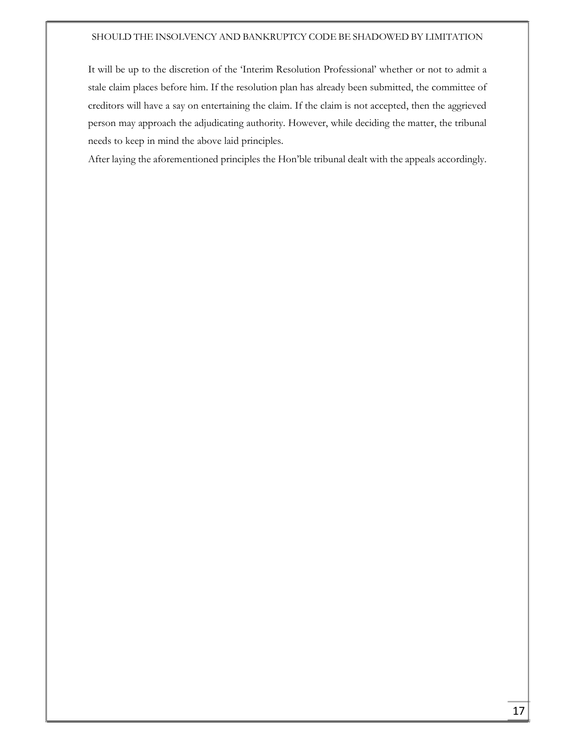It will be up to the discretion of the 'Interim Resolution Professional' whether or not to admit a stale claim places before him. If the resolution plan has already been submitted, the committee of creditors will have a say on entertaining the claim. If the claim is not accepted, then the aggrieved person may approach the adjudicating authority. However, while deciding the matter, the tribunal needs to keep in mind the above laid principles.

After laying the aforementioned principles the Hon'ble tribunal dealt with the appeals accordingly.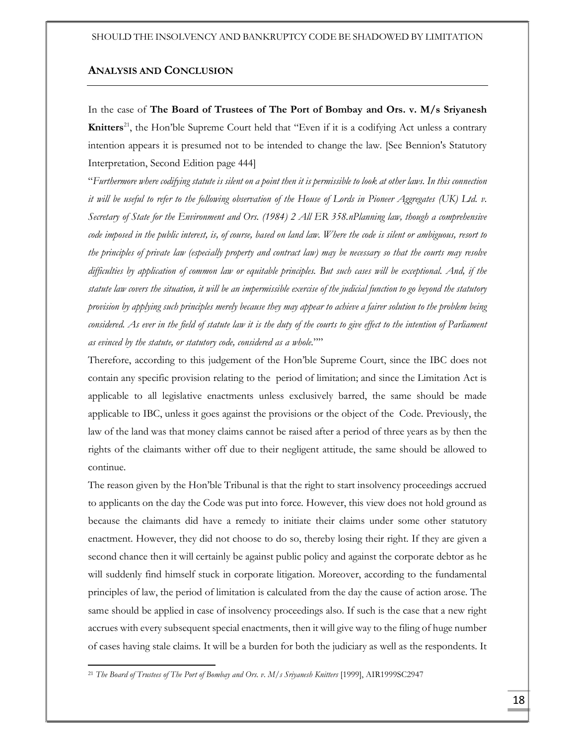# ANALYSIS AND CONCLUSION

In the case of The Board of Trustees of The Port of Bombay and Ors. v. M/s Sriyanesh **Knitters**<sup>21</sup>, the Hon'ble Supreme Court held that "Even if it is a codifying Act unless a contrary intention appears it is presumed not to be intended to change the law. [See Bennion's Statutory Interpretation, Second Edition page 444]

"Furthermore where codifying statute is silent on a point then it is permissible to look at other laws. In this connection it will be useful to refer to the following observation of the House of Lords in Pioneer Aggregates (UK) Ltd. v. Secretary of State for the Environment and Ors. (1984) 2 All ER 358.nPlanning law, though a comprehensive code imposed in the public interest, is, of course, based on land law. Where the code is silent or ambiguous, resort to the principles of private law (especially property and contract law) may be necessary so that the courts may resolve difficulties by application of common law or equitable principles. But such cases will be exceptional. And, if the statute law covers the situation, it will be an impermissible exercise of the judicial function to go beyond the statutory provision by applying such principles merely because they may appear to achieve a fairer solution to the problem being considered. As ever in the field of statute law it is the duty of the courts to give effect to the intention of Parliament as evinced by the statute, or statutory code, considered as a whole.""

Therefore, according to this judgement of the Hon'ble Supreme Court, since the IBC does not contain any specific provision relating to the period of limitation; and since the Limitation Act is applicable to all legislative enactments unless exclusively barred, the same should be made applicable to IBC, unless it goes against the provisions or the object of the Code. Previously, the law of the land was that money claims cannot be raised after a period of three years as by then the rights of the claimants wither off due to their negligent attitude, the same should be allowed to continue.

The reason given by the Hon'ble Tribunal is that the right to start insolvency proceedings accrued to applicants on the day the Code was put into force. However, this view does not hold ground as because the claimants did have a remedy to initiate their claims under some other statutory enactment. However, they did not choose to do so, thereby losing their right. If they are given a second chance then it will certainly be against public policy and against the corporate debtor as he will suddenly find himself stuck in corporate litigation. Moreover, according to the fundamental principles of law, the period of limitation is calculated from the day the cause of action arose. The same should be applied in case of insolvency proceedings also. If such is the case that a new right accrues with every subsequent special enactments, then it will give way to the filing of huge number of cases having stale claims. It will be a burden for both the judiciary as well as the respondents. It

<sup>&</sup>lt;sup>21</sup> The Board of Trustees of The Port of Bombay and Ors. v. M/s Sriyanesh Knitters [1999], AIR1999SC2947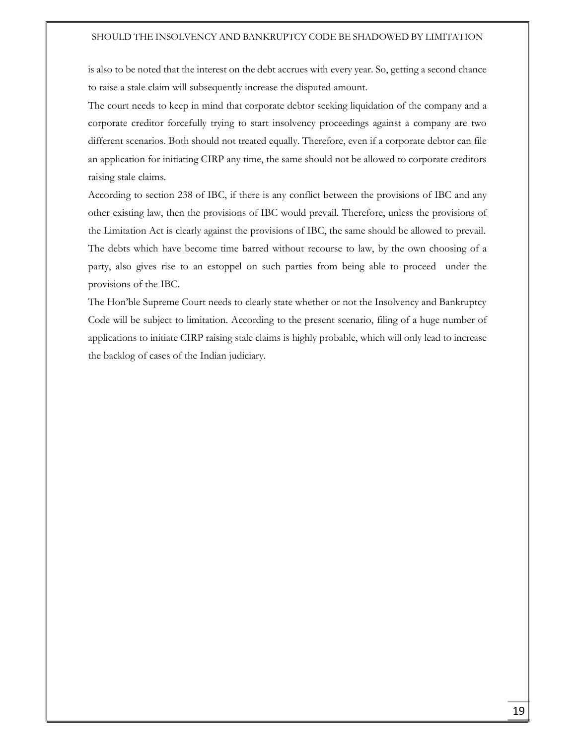is also to be noted that the interest on the debt accrues with every year. So, getting a second chance to raise a stale claim will subsequently increase the disputed amount.

The court needs to keep in mind that corporate debtor seeking liquidation of the company and a corporate creditor forcefully trying to start insolvency proceedings against a company are two different scenarios. Both should not treated equally. Therefore, even if a corporate debtor can file an application for initiating CIRP any time, the same should not be allowed to corporate creditors raising stale claims.

According to section 238 of IBC, if there is any conflict between the provisions of IBC and any other existing law, then the provisions of IBC would prevail. Therefore, unless the provisions of the Limitation Act is clearly against the provisions of IBC, the same should be allowed to prevail. The debts which have become time barred without recourse to law, by the own choosing of a party, also gives rise to an estoppel on such parties from being able to proceed under the provisions of the IBC.

The Hon'ble Supreme Court needs to clearly state whether or not the Insolvency and Bankruptcy Code will be subject to limitation. According to the present scenario, filing of a huge number of applications to initiate CIRP raising stale claims is highly probable, which will only lead to increase the backlog of cases of the Indian judiciary.